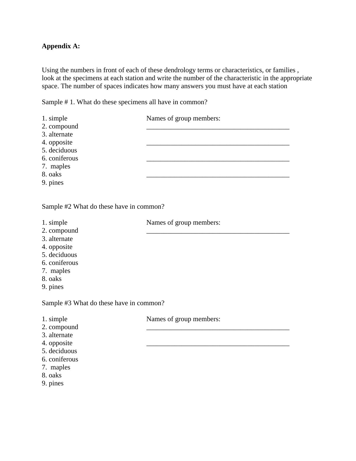## **Appendix A:**

Using the numbers in front of each of these dendrology terms or characteristics, or families , look at the specimens at each station and write the number of the characteristic in the appropriate space. The number of spaces indicates how many answers you must have at each station

Sample # 1. What do these specimens all have in common?

| 1. simple     | Names of group members: |
|---------------|-------------------------|
| 2. compound   |                         |
| 3. alternate  |                         |
| 4. opposite   |                         |
| 5. deciduous  |                         |
| 6. coniferous |                         |
| 7. maples     |                         |
| 8. oaks       |                         |
| 9. pines      |                         |

Sample #2 What do these have in common?

1. simple Names of group members: 2. compound 3. alternate 4. opposite 5. deciduous 6. coniferous 7. maples 8. oaks 9. pines Sample #3 What do these have in common? 1. simple Names of group members:

- 
- 2. compound
- 3. alternate
- 4. opposite
- 5. deciduous
- 6. coniferous
- 7. maples
- 8. oaks
- 9. pines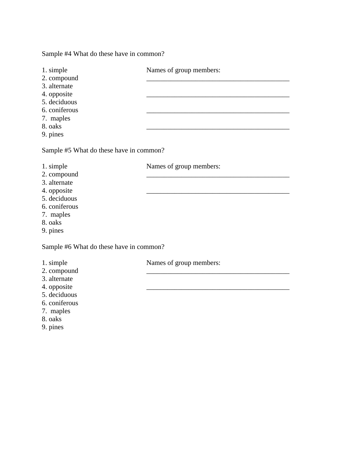Sample #4 What do these have in common?

| 1. simple     | Names of group members: |
|---------------|-------------------------|
| 2. compound   |                         |
| 3. alternate  |                         |
| 4. opposite   |                         |
| 5. deciduous  |                         |
| 6. coniferous |                         |
| 7. maples     |                         |
| 8. oaks       |                         |
| 9. pines      |                         |

Sample #5 What do these have in common?

- 1. simple Names of group members:
- 2. compound
- 3. alternate
- 4. opposite
- 5. deciduous
- 6. coniferous
- 7. maples
- 8. oaks
- 9. pines

Sample #6 What do these have in common?

- 
- 2. compound
- 3. alternate
- 4. opposite
- 5. deciduous
- 6. coniferous
- 7. maples
- 8. oaks
- 9. pines

1. simple Names of group members: